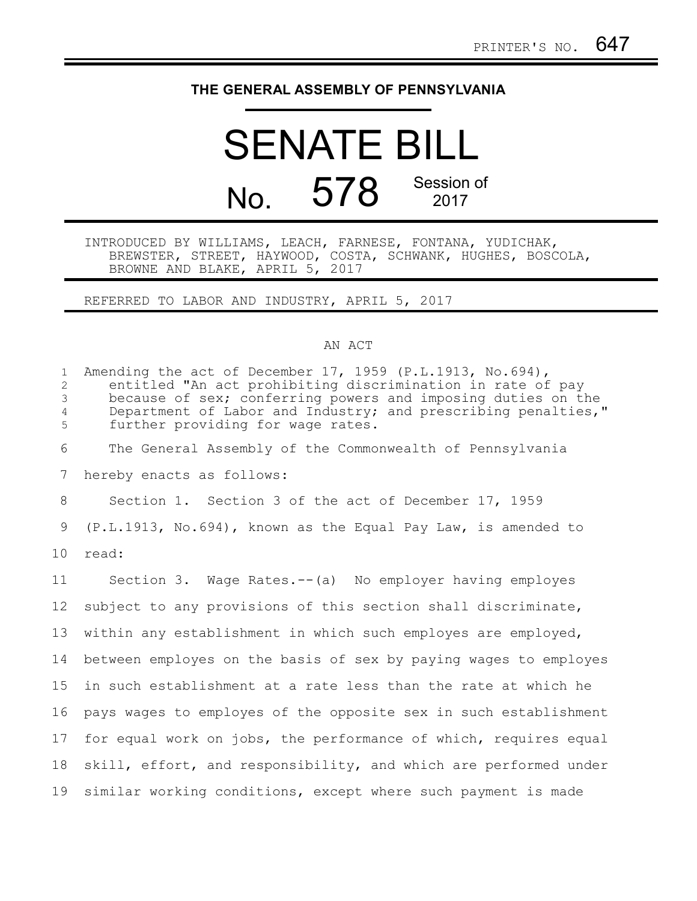## **THE GENERAL ASSEMBLY OF PENNSYLVANIA**

## SENATE BILL No. 578 Session of 2017

## INTRODUCED BY WILLIAMS, LEACH, FARNESE, FONTANA, YUDICHAK, BREWSTER, STREET, HAYWOOD, COSTA, SCHWANK, HUGHES, BOSCOLA, BROWNE AND BLAKE, APRIL 5, 2017

REFERRED TO LABOR AND INDUSTRY, APRIL 5, 2017

## AN ACT

| $\mathbf{1}$<br>$\overline{c}$<br>3<br>$\overline{4}$<br>5 | Amending the act of December 17, 1959 (P.L.1913, No.694),<br>entitled "An act prohibiting discrimination in rate of pay<br>because of sex; conferring powers and imposing duties on the<br>Department of Labor and Industry; and prescribing penalties,"<br>further providing for wage rates. |
|------------------------------------------------------------|-----------------------------------------------------------------------------------------------------------------------------------------------------------------------------------------------------------------------------------------------------------------------------------------------|
| 6                                                          | The General Assembly of the Commonwealth of Pennsylvania                                                                                                                                                                                                                                      |
| 7                                                          | hereby enacts as follows:                                                                                                                                                                                                                                                                     |
| 8                                                          | Section 1. Section 3 of the act of December 17, 1959                                                                                                                                                                                                                                          |
| 9                                                          | $(P.L.1913, No.694)$ , known as the Equal Pay Law, is amended to                                                                                                                                                                                                                              |
| 10                                                         | read:                                                                                                                                                                                                                                                                                         |
| 11                                                         | Section 3. Wage Rates.--(a) No employer having employes                                                                                                                                                                                                                                       |
| 12 <sup>°</sup>                                            | subject to any provisions of this section shall discriminate,                                                                                                                                                                                                                                 |
| 13                                                         | within any establishment in which such employes are employed,                                                                                                                                                                                                                                 |
| 14                                                         | between employes on the basis of sex by paying wages to employes                                                                                                                                                                                                                              |
| 15                                                         | in such establishment at a rate less than the rate at which he                                                                                                                                                                                                                                |
| 16                                                         | pays wages to employes of the opposite sex in such establishment                                                                                                                                                                                                                              |
| 17                                                         | for equal work on jobs, the performance of which, requires equal                                                                                                                                                                                                                              |
| 18                                                         | skill, effort, and responsibility, and which are performed under                                                                                                                                                                                                                              |
| 19                                                         | similar working conditions, except where such payment is made                                                                                                                                                                                                                                 |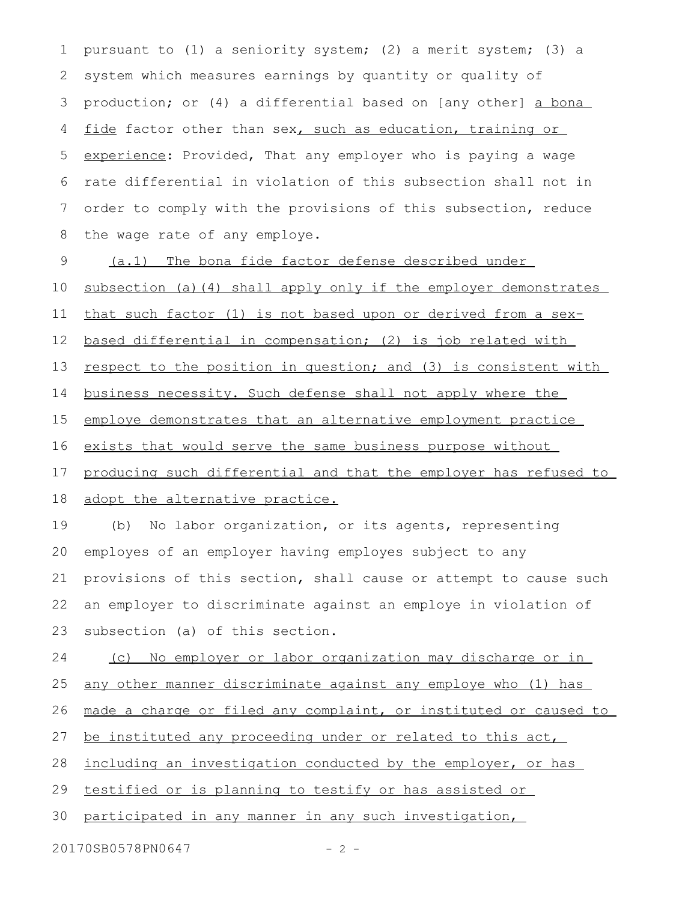pursuant to (1) a seniority system; (2) a merit system; (3) a system which measures earnings by quantity or quality of production; or (4) a differential based on [any other] a bona fide factor other than sex, such as education, training or experience: Provided, That any employer who is paying a wage rate differential in violation of this subsection shall not in order to comply with the provisions of this subsection, reduce the wage rate of any employe. 1 2 3 4 5 6 7 8

(a.1) The bona fide factor defense described under 9

subsection (a)(4) shall apply only if the employer demonstrates 10

that such factor (1) is not based upon or derived from a sex-11

based differential in compensation; (2) is job related with 12

respect to the position in question; and (3) is consistent with 13

business necessity. Such defense shall not apply where the 14

employe demonstrates that an alternative employment practice 15

exists that would serve the same business purpose without 16

producing such differential and that the employer has refused to 17

adopt the alternative practice. 18

(b) No labor organization, or its agents, representing employes of an employer having employes subject to any provisions of this section, shall cause or attempt to cause such an employer to discriminate against an employe in violation of subsection (a) of this section. 19 20 21 22 23

(c) No employer or labor organization may discharge or in 24

any other manner discriminate against any employe who (1) has 25

made a charge or filed any complaint, or instituted or caused to 26

be instituted any proceeding under or related to this act, 27

including an investigation conducted by the employer, or has 28

testified or is planning to testify or has assisted or 29

participated in any manner in any such investigation, 30

20170SB0578PN0647 - 2 -